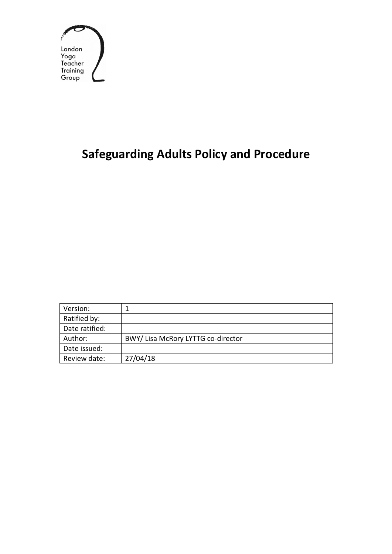

# **Safeguarding Adults Policy and Procedure**

| Version:       |                                    |
|----------------|------------------------------------|
| Ratified by:   |                                    |
| Date ratified: |                                    |
| Author:        | BWY/ Lisa McRory LYTTG co-director |
| Date issued:   |                                    |
| Review date:   | 27/04/18                           |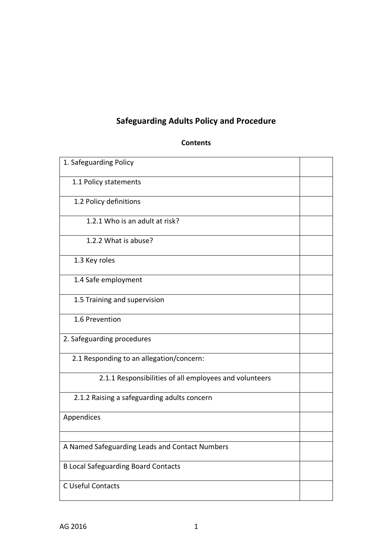# **Safeguarding Adults Policy and Procedure**

| 1. Safeguarding Policy                                 |  |  |
|--------------------------------------------------------|--|--|
| 1.1 Policy statements                                  |  |  |
| 1.2 Policy definitions                                 |  |  |
| 1.2.1 Who is an adult at risk?                         |  |  |
| 1.2.2 What is abuse?                                   |  |  |
| 1.3 Key roles                                          |  |  |
| 1.4 Safe employment                                    |  |  |
| 1.5 Training and supervision                           |  |  |
| 1.6 Prevention                                         |  |  |
| 2. Safeguarding procedures                             |  |  |
| 2.1 Responding to an allegation/concern:               |  |  |
| 2.1.1 Responsibilities of all employees and volunteers |  |  |
| 2.1.2 Raising a safeguarding adults concern            |  |  |
| Appendices                                             |  |  |
|                                                        |  |  |
| A Named Safeguarding Leads and Contact Numbers         |  |  |
| <b>B Local Safeguarding Board Contacts</b>             |  |  |
| C Useful Contacts                                      |  |  |

#### **Contents**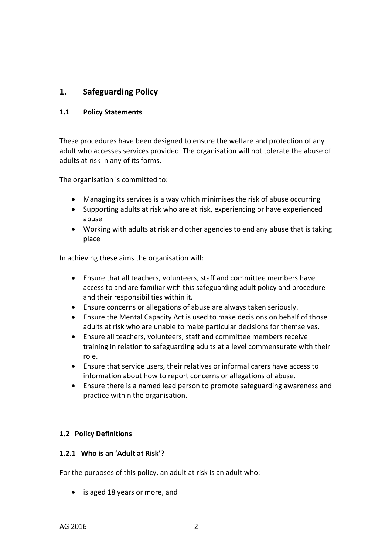### **1. Safeguarding Policy**

#### **1.1 Policy Statements**

These procedures have been designed to ensure the welfare and protection of any adult who accesses services provided. The organisation will not tolerate the abuse of adults at risk in any of its forms.

The organisation is committed to:

- Managing its services is a way which minimises the risk of abuse occurring
- Supporting adults at risk who are at risk, experiencing or have experienced abuse
- Working with adults at risk and other agencies to end any abuse that is taking place

In achieving these aims the organisation will:

- Ensure that all teachers, volunteers, staff and committee members have access to and are familiar with this safeguarding adult policy and procedure and their responsibilities within it.
- Ensure concerns or allegations of abuse are always taken seriously.
- Ensure the Mental Capacity Act is used to make decisions on behalf of those adults at risk who are unable to make particular decisions for themselves.
- Ensure all teachers, volunteers, staff and committee members receive training in relation to safeguarding adults at a level commensurate with their role.
- Ensure that service users, their relatives or informal carers have access to information about how to report concerns or allegations of abuse.
- Ensure there is a named lead person to promote safeguarding awareness and practice within the organisation.

#### **1.2 Policy Definitions**

#### **1.2.1 Who is an 'Adult at Risk'?**

For the purposes of this policy, an adult at risk is an adult who:

• is aged 18 years or more, and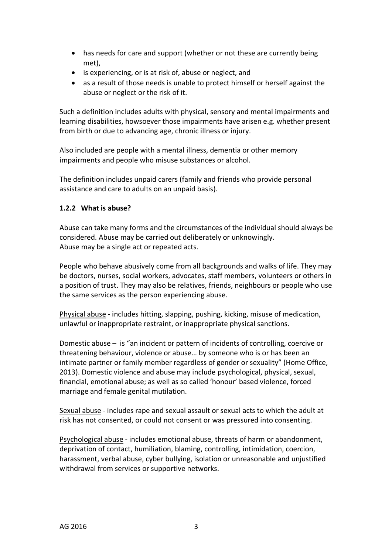- has needs for care and support (whether or not these are currently being met),
- is experiencing, or is at risk of, abuse or neglect, and
- as a result of those needs is unable to protect himself or herself against the abuse or neglect or the risk of it.

Such a definition includes adults with physical, sensory and mental impairments and learning disabilities, howsoever those impairments have arisen e.g. whether present from birth or due to advancing age, chronic illness or injury.

Also included are people with a mental illness, dementia or other memory impairments and people who misuse substances or alcohol.

The definition includes unpaid carers (family and friends who provide personal assistance and care to adults on an unpaid basis).

#### **1.2.2 What is abuse?**

Abuse can take many forms and the circumstances of the individual should always be considered. Abuse may be carried out deliberately or unknowingly. Abuse may be a single act or repeated acts.

People who behave abusively come from all backgrounds and walks of life. They may be doctors, nurses, social workers, advocates, staff members, volunteers or others in a position of trust. They may also be relatives, friends, neighbours or people who use the same services as the person experiencing abuse.

Physical abuse - includes hitting, slapping, pushing, kicking, misuse of medication, unlawful or inappropriate restraint, or inappropriate physical sanctions.

Domestic abuse – is "an incident or pattern of incidents of controlling, coercive or threatening behaviour, violence or abuse… by someone who is or has been an intimate partner or family member regardless of gender or sexuality" (Home Office, 2013). Domestic violence and abuse may include psychological, physical, sexual, financial, emotional abuse; as well as so called 'honour' based violence, forced marriage and female genital mutilation.

Sexual abuse - includes rape and sexual assault or sexual acts to which the adult at risk has not consented, or could not consent or was pressured into consenting.

Psychological abuse - includes emotional abuse, threats of harm or abandonment, deprivation of contact, humiliation, blaming, controlling, intimidation, coercion, harassment, verbal abuse, cyber bullying, isolation or unreasonable and unjustified withdrawal from services or supportive networks.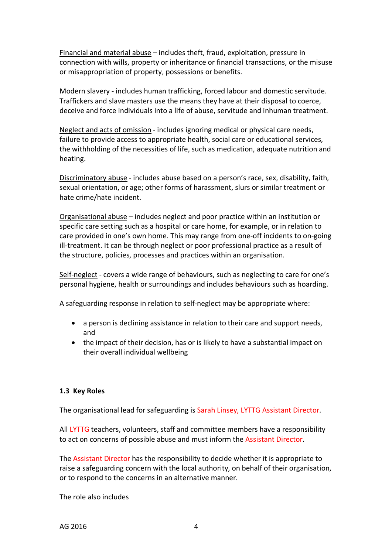Financial and material abuse – includes theft, fraud, exploitation, pressure in connection with wills, property or inheritance or financial transactions, or the misuse or misappropriation of property, possessions or benefits.

Modern slavery - includes human trafficking, forced labour and domestic servitude. Traffickers and slave masters use the means they have at their disposal to coerce, deceive and force individuals into a life of abuse, servitude and inhuman treatment.

Neglect and acts of omission - includes ignoring medical or physical care needs, failure to provide access to appropriate health, social care or educational services, the withholding of the necessities of life, such as medication, adequate nutrition and heating.

Discriminatory abuse - includes abuse based on a person's race, sex, disability, faith, sexual orientation, or age; other forms of harassment, slurs or similar treatment or hate crime/hate incident.

Organisational abuse – includes neglect and poor practice within an institution or specific care setting such as a hospital or care home, for example, or in relation to care provided in one's own home. This may range from one-off incidents to on-going ill-treatment. It can be through neglect or poor professional practice as a result of the structure, policies, processes and practices within an organisation.

Self-neglect - covers a wide range of behaviours, such as neglecting to care for one's personal hygiene, health or surroundings and includes behaviours such as hoarding.

A safeguarding response in relation to self-neglect may be appropriate where:

- a person is declining assistance in relation to their care and support needs, and
- the impact of their decision, has or is likely to have a substantial impact on their overall individual wellbeing

#### **1.3 Key Roles**

The organisational lead for safeguarding is Sarah Linsey, LYTTG Assistant Director.

All LYTTG teachers, volunteers, staff and committee members have a responsibility to act on concerns of possible abuse and must inform the Assistant Director.

The Assistant Director has the responsibility to decide whether it is appropriate to raise a safeguarding concern with the local authority, on behalf of their organisation, or to respond to the concerns in an alternative manner.

The role also includes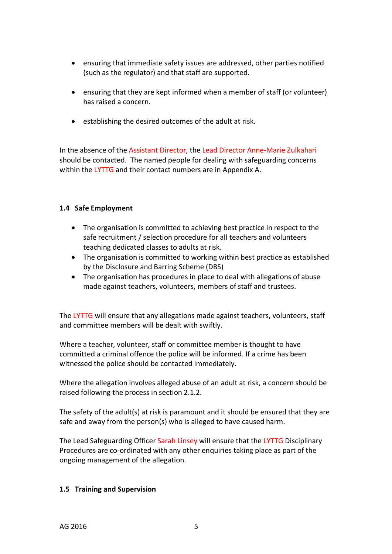- ensuring that immediate safety issues are addressed, other parties notified (such as the regulator) and that staff are supported.
- ensuring that they are kept informed when a member of staff (or volunteer) has raised a concern.
- establishing the desired outcomes of the adult at risk.

In the absence of the Assistant Director, the Lead Director Anne-Marie Zulkahari should be contacted. The named people for dealing with safeguarding concerns within the LYTTG and their contact numbers are in Appendix A.

#### **1.4 Safe Employment**

- The organisation is committed to achieving best practice in respect to the safe recruitment / selection procedure for all teachers and volunteers teaching dedicated classes to adults at risk.
- The organisation is committed to working within best practice as established by the Disclosure and Barring Scheme (DBS)
- The organisation has procedures in place to deal with allegations of abuse made against teachers, volunteers, members of staff and trustees.

The LYTTG will ensure that any allegations made against teachers, volunteers, staff and committee members will be dealt with swiftly.

Where a teacher, volunteer, staff or committee member is thought to have committed a criminal offence the police will be informed. If a crime has been witnessed the police should be contacted immediately.

Where the allegation involves alleged abuse of an adult at risk, a concern should be raised following the process in section 2.1.2.

The safety of the adult(s) at risk is paramount and it should be ensured that they are safe and away from the person(s) who is alleged to have caused harm.

The Lead Safeguarding Officer Sarah Linsey will ensure that the LYTTG Disciplinary Procedures are co-ordinated with any other enquiries taking place as part of the ongoing management of the allegation.

#### **1.5 Training and Supervision**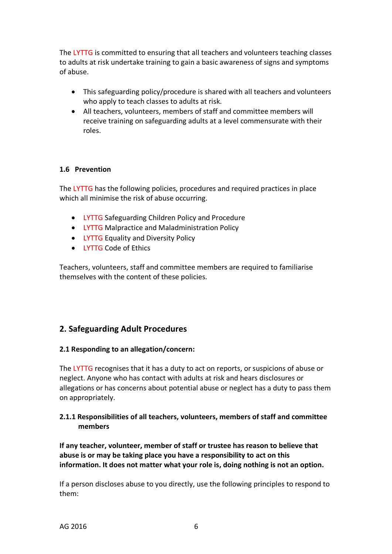The LYTTG is committed to ensuring that all teachers and volunteers teaching classes to adults at risk undertake training to gain a basic awareness of signs and symptoms of abuse.

- This safeguarding policy/procedure is shared with all teachers and volunteers who apply to teach classes to adults at risk.
- All teachers, volunteers, members of staff and committee members will receive training on safeguarding adults at a level commensurate with their roles.

#### **1.6 Prevention**

The LYTTG has the following policies, procedures and required practices in place which all minimise the risk of abuse occurring.

- LYTTG Safeguarding Children Policy and Procedure
- LYTTG Malpractice and Maladministration Policy
- LYTTG Equality and Diversity Policy
- LYTTG Code of Ethics

Teachers, volunteers, staff and committee members are required to familiarise themselves with the content of these policies.

#### **2. Safeguarding Adult Procedures**

#### **2.1 Responding to an allegation/concern:**

The LYTTG recognises that it has a duty to act on reports, or suspicions of abuse or neglect. Anyone who has contact with adults at risk and hears disclosures or allegations or has concerns about potential abuse or neglect has a duty to pass them on appropriately.

#### **2.1.1 Responsibilities of all teachers, volunteers, members of staff and committee members**

**If any teacher, volunteer, member of staff or trustee has reason to believe that abuse is or may be taking place you have a responsibility to act on this information. It does not matter what your role is, doing nothing is not an option.** 

If a person discloses abuse to you directly, use the following principles to respond to them: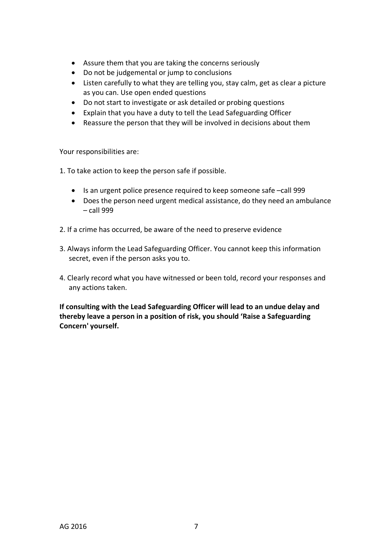- Assure them that you are taking the concerns seriously
- Do not be judgemental or jump to conclusions
- Listen carefully to what they are telling you, stay calm, get as clear a picture as you can. Use open ended questions
- Do not start to investigate or ask detailed or probing questions
- Explain that you have a duty to tell the Lead Safeguarding Officer
- Reassure the person that they will be involved in decisions about them

Your responsibilities are:

1. To take action to keep the person safe if possible.

- Is an urgent police presence required to keep someone safe –call 999
- Does the person need urgent medical assistance, do they need an ambulance – call 999
- 2. If a crime has occurred, be aware of the need to preserve evidence
- 3. Always inform the Lead Safeguarding Officer. You cannot keep this information secret, even if the person asks you to.
- 4. Clearly record what you have witnessed or been told, record your responses and any actions taken.

**If consulting with the Lead Safeguarding Officer will lead to an undue delay and thereby leave a person in a position of risk, you should 'Raise a Safeguarding Concern' yourself.**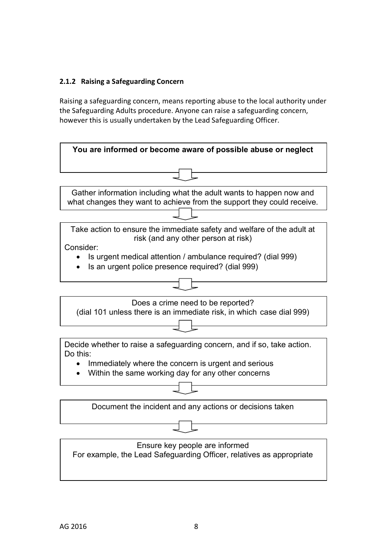#### **2.1.2 Raising a Safeguarding Concern**

Raising a safeguarding concern, means reporting abuse to the local authority under the Safeguarding Adults procedure. Anyone can raise a safeguarding concern, however this is usually undertaken by the Lead Safeguarding Officer.

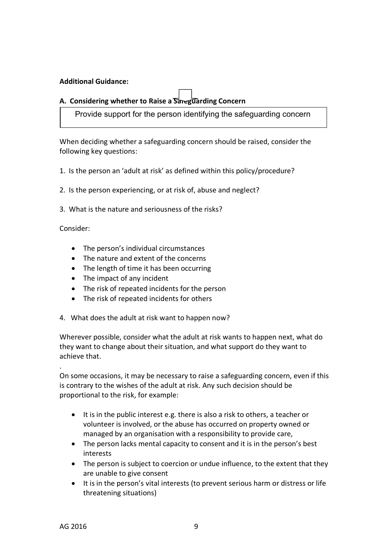#### **Additional Guidance:**

### A. Considering whether to Raise a Sareguarding Concern

Provide support for the person identifying the safeguarding concern

When deciding whether a safeguarding concern should be raised, consider the following key questions:

- 1. Is the person an 'adult at risk' as defined within this policy/procedure?
- 2. Is the person experiencing, or at risk of, abuse and neglect?
- 3. What is the nature and seriousness of the risks?

Consider:

.

- The person's individual circumstances
- The nature and extent of the concerns
- The length of time it has been occurring
- The impact of any incident
- The risk of repeated incidents for the person
- The risk of repeated incidents for others
- 4. What does the adult at risk want to happen now?

Wherever possible, consider what the adult at risk wants to happen next, what do they want to change about their situation, and what support do they want to achieve that.

On some occasions, it may be necessary to raise a safeguarding concern, even if this is contrary to the wishes of the adult at risk. Any such decision should be proportional to the risk, for example:

- It is in the public interest e.g. there is also a risk to others, a teacher or volunteer is involved, or the abuse has occurred on property owned or managed by an organisation with a responsibility to provide care,
- The person lacks mental capacity to consent and it is in the person's best interests
- The person is subject to coercion or undue influence, to the extent that they are unable to give consent
- It is in the person's vital interests (to prevent serious harm or distress or life threatening situations)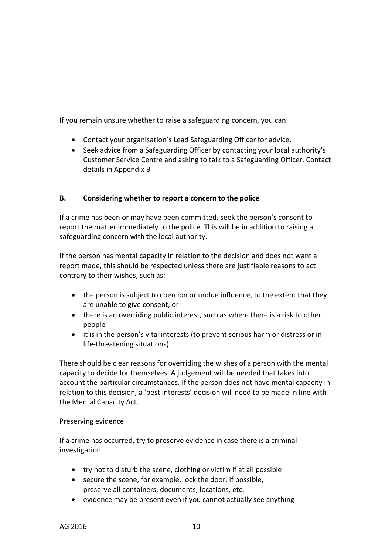If you remain unsure whether to raise a safeguarding concern, you can:

- Contact your organisation's Lead Safeguarding Officer for advice.
- Seek advice from a Safeguarding Officer by contacting your local authority's Customer Service Centre and asking to talk to a Safeguarding Officer. Contact details in Appendix B

#### **B. Considering whether to report a concern to the police**

If a crime has been or may have been committed, seek the person's consent to report the matter immediately to the police. This will be in addition to raising a safeguarding concern with the local authority.

If the person has mental capacity in relation to the decision and does not want a report made, this should be respected unless there are justifiable reasons to act contrary to their wishes, such as:

- the person is subject to coercion or undue influence, to the extent that they are unable to give consent, or
- there is an overriding public interest, such as where there is a risk to other people
- it is in the person's vital interests (to prevent serious harm or distress or in life-threatening situations)

There should be clear reasons for overriding the wishes of a person with the mental capacity to decide for themselves. A judgement will be needed that takes into account the particular circumstances. If the person does not have mental capacity in relation to this decision, a 'best interests' decision will need to be made in line with the Mental Capacity Act.

#### Preserving evidence

If a crime has occurred, try to preserve evidence in case there is a criminal investigation.

- try not to disturb the scene, clothing or victim if at all possible
- secure the scene, for example, lock the door, if possible, preserve all containers, documents, locations, etc.
- evidence may be present even if you cannot actually see anything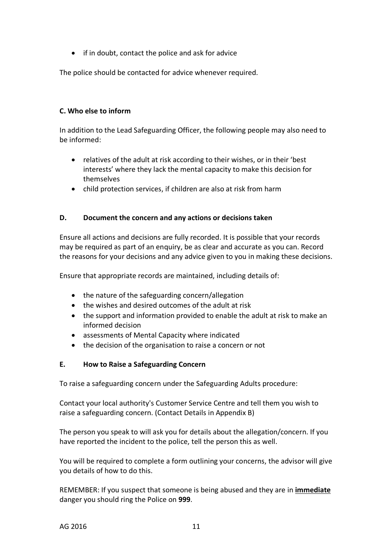• if in doubt, contact the police and ask for advice

The police should be contacted for advice whenever required.

#### **C. Who else to inform**

In addition to the Lead Safeguarding Officer, the following people may also need to be informed:

- relatives of the adult at risk according to their wishes, or in their 'best interests' where they lack the mental capacity to make this decision for themselves
- child protection services, if children are also at risk from harm

#### **D. Document the concern and any actions or decisions taken**

Ensure all actions and decisions are fully recorded. It is possible that your records may be required as part of an enquiry, be as clear and accurate as you can. Record the reasons for your decisions and any advice given to you in making these decisions.

Ensure that appropriate records are maintained, including details of:

- the nature of the safeguarding concern/allegation
- the wishes and desired outcomes of the adult at risk
- the support and information provided to enable the adult at risk to make an informed decision
- assessments of Mental Capacity where indicated
- the decision of the organisation to raise a concern or not

#### **E. How to Raise a Safeguarding Concern**

To raise a safeguarding concern under the Safeguarding Adults procedure:

Contact your local authority's Customer Service Centre and tell them you wish to raise a safeguarding concern. (Contact Details in Appendix B)

The person you speak to will ask you for details about the allegation/concern. If you have reported the incident to the police, tell the person this as well.

You will be required to complete a form outlining your concerns, the advisor will give you details of how to do this.

REMEMBER: If you suspect that someone is being abused and they are in **immediate** danger you should ring the Police on **999**.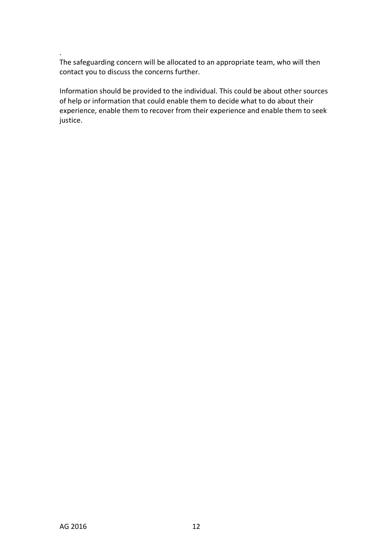The safeguarding concern will be allocated to an appropriate team, who will then contact you to discuss the concerns further.

Information should be provided to the individual. This could be about other sources of help or information that could enable them to decide what to do about their experience, enable them to recover from their experience and enable them to seek justice.

.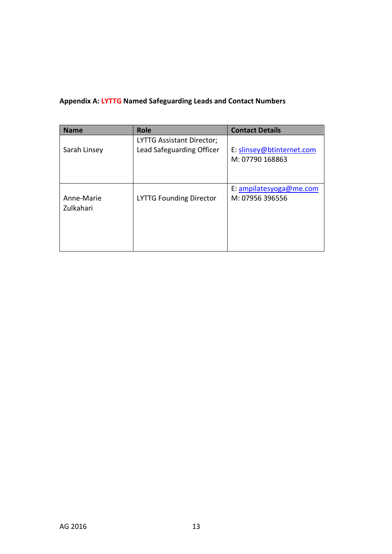## **Appendix A: LYTTG Named Safeguarding Leads and Contact Numbers**

| <b>Name</b>             | <b>Role</b>                                            | <b>Contact Details</b>                       |
|-------------------------|--------------------------------------------------------|----------------------------------------------|
| Sarah Linsey            | LYTTG Assistant Director;<br>Lead Safeguarding Officer | E: slinsey@btinternet.com<br>M: 07790 168863 |
| Anne-Marie<br>Zulkahari | <b>LYTTG Founding Director</b>                         | E: ampilatesyoga@me.com<br>M: 07956 396556   |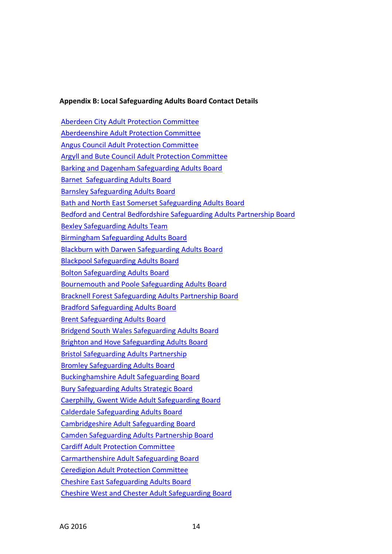#### **Appendix B: Local Safeguarding Adults Board Contact Details**

Aberdeen City Adult Protection Committee Aberdeenshire Adult Protection Committee Angus Council Adult Protection Committee Argyll and Bute Council Adult Protection Committee Barking and Dagenham Safeguarding Adults Board Barnet Safeguarding Adults Board Barnsley Safeguarding Adults Board Bath and North East Somerset Safeguarding Adults Board Bedford and Central Bedfordshire Safeguarding Adults Partnership Board Bexley Safeguarding Adults Team Birmingham Safeguarding Adults Board Blackburn with Darwen Safeguarding Adults Board Blackpool Safeguarding Adults Board Bolton Safeguarding Adults Board Bournemouth and Poole Safeguarding Adults Board Bracknell Forest Safeguarding Adults Partnership Board Bradford Safeguarding Adults Board Brent Safeguarding Adults Board Bridgend South Wales Safeguarding Adults Board Brighton and Hove Safeguarding Adults Board Bristol Safeguarding Adults Partnership Bromley Safeguarding Adults Board Buckinghamshire Adult Safeguarding Board Bury Safeguarding Adults Strategic Board Caerphilly, Gwent Wide Adult Safeguarding Board Calderdale Safeguarding Adults Board Cambridgeshire Adult Safeguarding Board Camden Safeguarding Adults Partnership Board Cardiff Adult Protection Committee Carmarthenshire Adult Safeguarding Board Ceredigion Adult Protection Committee Cheshire East Safeguarding Adults Board Cheshire West and Chester Adult Safeguarding Board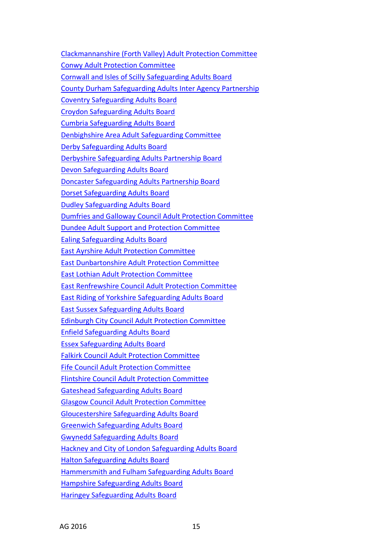Clackmannanshire (Forth Valley) Adult Protection Committee Conwy Adult Protection Committee Cornwall and Isles of Scilly Safeguarding Adults Board County Durham Safeguarding Adults Inter Agency Partnership Coventry Safeguarding Adults Board Croydon Safeguarding Adults Board Cumbria Safeguarding Adults Board Denbighshire Area Adult Safeguarding Committee Derby Safeguarding Adults Board Derbyshire Safeguarding Adults Partnership Board Devon Safeguarding Adults Board Doncaster Safeguarding Adults Partnership Board Dorset Safeguarding Adults Board Dudley Safeguarding Adults Board Dumfries and Galloway Council Adult Protection Committee Dundee Adult Support and Protection Committee Ealing Safeguarding Adults Board East Ayrshire Adult Protection Committee East Dunbartonshire Adult Protection Committee East Lothian Adult Protection Committee East Renfrewshire Council Adult Protection Committee East Riding of Yorkshire Safeguarding Adults Board East Sussex Safeguarding Adults Board Edinburgh City Council Adult Protection Committee Enfield Safeguarding Adults Board Essex Safeguarding Adults Board Falkirk Council Adult Protection Committee Fife Council Adult Protection Committee Flintshire Council Adult Protection Committee Gateshead Safeguarding Adults Board Glasgow Council Adult Protection Committee Gloucestershire Safeguarding Adults Board Greenwich Safeguarding Adults Board Gwynedd Safeguarding Adults Board Hackney and City of London Safeguarding Adults Board Halton Safeguarding Adults Board Hammersmith and Fulham Safeguarding Adults Board Hampshire Safeguarding Adults Board Haringey Safeguarding Adults Board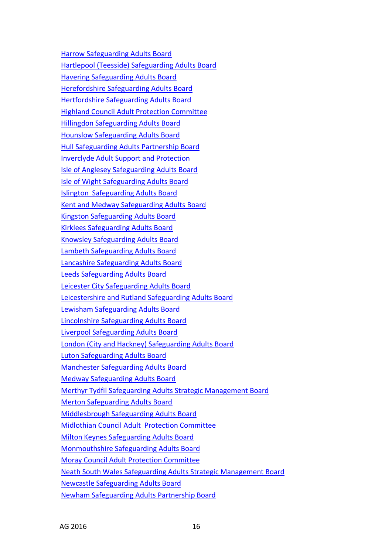Harrow Safeguarding Adults Board Hartlepool (Teesside) Safeguarding Adults Board Havering Safeguarding Adults Board Herefordshire Safeguarding Adults Board Hertfordshire Safeguarding Adults Board Highland Council Adult Protection Committee Hillingdon Safeguarding Adults Board Hounslow Safeguarding Adults Board Hull Safeguarding Adults Partnership Board Inverclyde Adult Support and Protection Isle of Anglesey Safeguarding Adults Board Isle of Wight Safeguarding Adults Board Islington Safeguarding Adults Board Kent and Medway Safeguarding Adults Board Kingston Safeguarding Adults Board Kirklees Safeguarding Adults Board Knowsley Safeguarding Adults Board Lambeth Safeguarding Adults Board Lancashire Safeguarding Adults Board Leeds Safeguarding Adults Board Leicester City Safeguarding Adults Board Leicestershire and Rutland Safeguarding Adults Board Lewisham Safeguarding Adults Board Lincolnshire Safeguarding Adults Board Liverpool Safeguarding Adults Board London (City and Hackney) Safeguarding Adults Board Luton Safeguarding Adults Board Manchester Safeguarding Adults Board Medway Safeguarding Adults Board Merthyr Tydfil Safeguarding Adults Strategic Management Board Merton Safeguarding Adults Board Middlesbrough Safeguarding Adults Board Midlothian Council Adult Protection Committee Milton Keynes Safeguarding Adults Board Monmouthshire Safeguarding Adults Board Moray Council Adult Protection Committee Neath South Wales Safeguarding Adults Strategic Management Board Newcastle Safeguarding Adults Board Newham Safeguarding Adults Partnership Board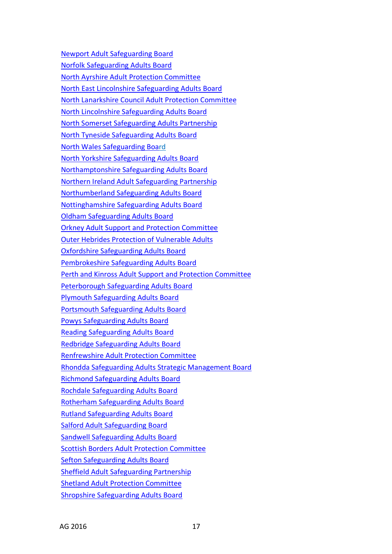Newport Adult Safeguarding Board Norfolk Safeguarding Adults Board North Ayrshire Adult Protection Committee North East Lincolnshire Safeguarding Adults Board North Lanarkshire Council Adult Protection Committee North Lincolnshire Safeguarding Adults Board North Somerset Safeguarding Adults Partnership North Tyneside Safeguarding Adults Board North Wales Safeguarding Board North Yorkshire Safeguarding Adults Board Northamptonshire Safeguarding Adults Board Northern Ireland Adult Safeguarding Partnership Northumberland Safeguarding Adults Board Nottinghamshire Safeguarding Adults Board Oldham Safeguarding Adults Board Orkney Adult Support and Protection Committee Outer Hebrides Protection of Vulnerable Adults Oxfordshire Safeguarding Adults Board Pembrokeshire Safeguarding Adults Board Perth and Kinross Adult Support and Protection Committee Peterborough Safeguarding Adults Board Plymouth Safeguarding Adults Board Portsmouth Safeguarding Adults Board Powys Safeguarding Adults Board Reading Safeguarding Adults Board Redbridge Safeguarding Adults Board Renfrewshire Adult Protection Committee Rhondda Safeguarding Adults Strategic Management Board Richmond Safeguarding Adults Board Rochdale Safeguarding Adults Board Rotherham Safeguarding Adults Board Rutland Safeguarding Adults Board Salford Adult Safeguarding Board Sandwell Safeguarding Adults Board Scottish Borders Adult Protection Committee Sefton Safeguarding Adults Board Sheffield Adult Safeguarding Partnership Shetland Adult Protection Committee Shropshire Safeguarding Adults Board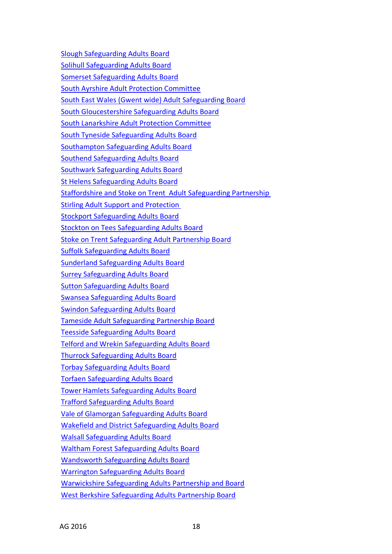Slough Safeguarding Adults Board Solihull Safeguarding Adults Board Somerset Safeguarding Adults Board South Ayrshire Adult Protection Committee South East Wales (Gwent wide) Adult Safeguarding Board South Gloucestershire Safeguarding Adults Board South Lanarkshire Adult Protection Committee South Tyneside Safeguarding Adults Board Southampton Safeguarding Adults Board Southend Safeguarding Adults Board Southwark Safeguarding Adults Board St Helens Safeguarding Adults Board Staffordshire and Stoke on Trent Adult Safeguarding Partnership Stirling Adult Support and Protection Stockport Safeguarding Adults Board Stockton on Tees Safeguarding Adults Board Stoke on Trent Safeguarding Adult Partnership Board Suffolk Safeguarding Adults Board Sunderland Safeguarding Adults Board Surrey Safeguarding Adults Board Sutton Safeguarding Adults Board Swansea Safeguarding Adults Board Swindon Safeguarding Adults Board Tameside Adult Safeguarding Partnership Board Teesside Safeguarding Adults Board Telford and Wrekin Safeguarding Adults Board Thurrock Safeguarding Adults Board Torbay Safeguarding Adults Board Torfaen Safeguarding Adults Board Tower Hamlets Safeguarding Adults Board Trafford Safeguarding Adults Board Vale of Glamorgan Safeguarding Adults Board Wakefield and District Safeguarding Adults Board Walsall Safeguarding Adults Board Waltham Forest Safeguarding Adults Board Wandsworth Safeguarding Adults Board Warrington Safeguarding Adults Board Warwickshire Safeguarding Adults Partnership and Board West Berkshire Safeguarding Adults Partnership Board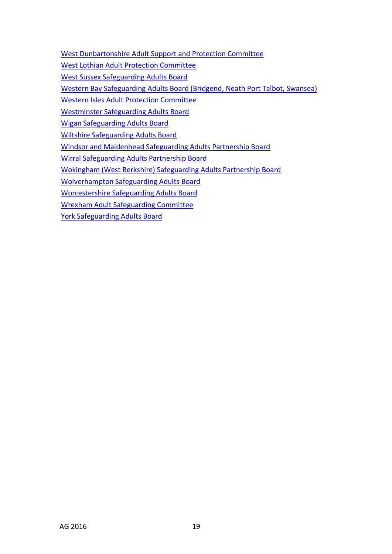West Dunbartonshire Adult Support and Protection Committee

West Lothian Adult Protection Committee

West Sussex Safeguarding Adults Board

Western Bay Safeguarding Adults Board (Bridgend, Neath Port Talbot, Swansea)

Western Isles Adult Protection Committee

Westminster Safeguarding Adults Board

Wigan Safeguarding Adults Board

Wiltshire Safeguarding Adults Board

Windsor and Maidenhead Safeguarding Adults Partnership Board

Wirral Safeguarding Adults Partnership Board

Wokingham (West Berkshire) Safeguarding Adults Partnership Board

Wolverhampton Safeguarding Adults Board

Worcestershire Safeguarding Adults Board

Wrexham Adult Safeguarding Committee

York Safeguarding Adults Board